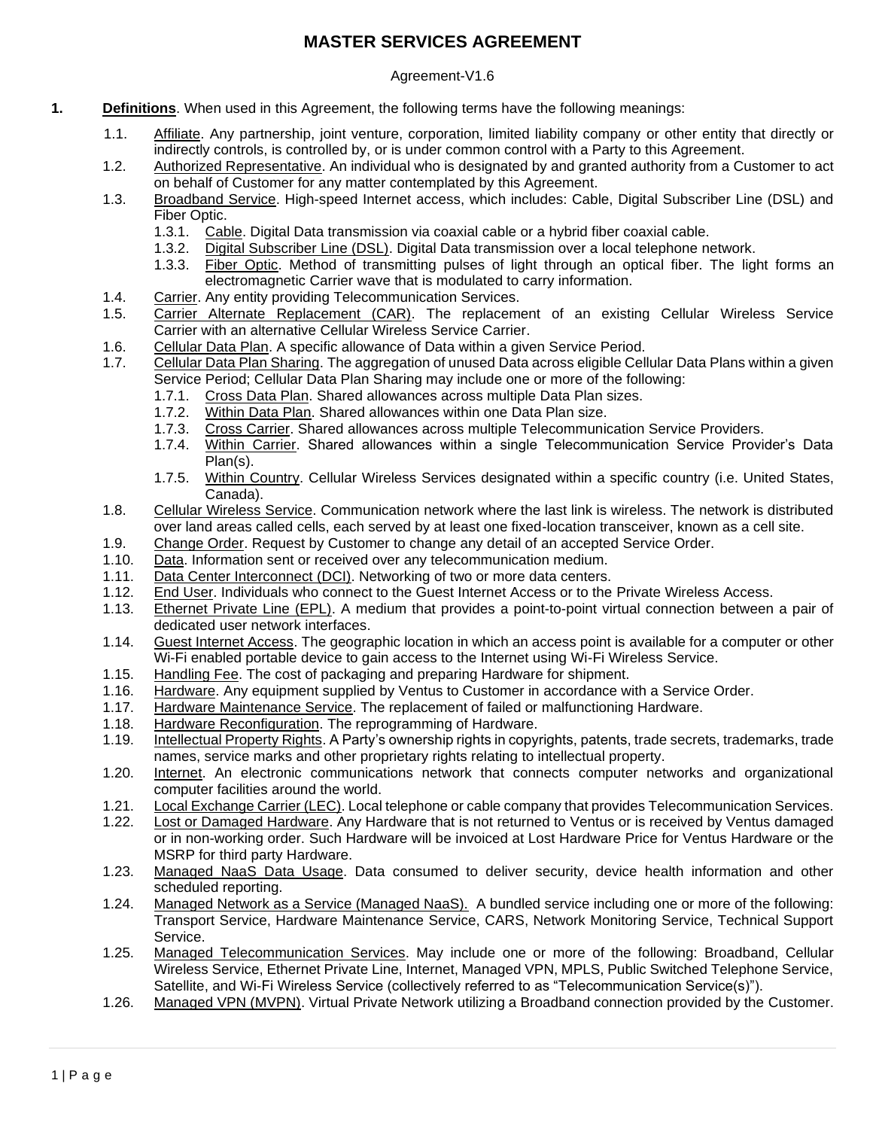## **MASTER SERVICES AGREEMENT**

## Agreement-V1.6

- **1. Definitions**. When used in this Agreement, the following terms have the following meanings:
	- 1.1. Affiliate. Any partnership, joint venture, corporation, limited liability company or other entity that directly or indirectly controls, is controlled by, or is under common control with a Party to this Agreement.
	- 1.2. Authorized Representative. An individual who is designated by and granted authority from a Customer to act on behalf of Customer for any matter contemplated by this Agreement.
	- 1.3. Broadband Service. High-speed Internet access, which includes: Cable, Digital Subscriber Line (DSL) and Fiber Optic.
		- 1.3.1. Cable. Digital Data transmission via coaxial cable or a hybrid fiber coaxial cable.
		- 1.3.2. Digital Subscriber Line (DSL). Digital Data transmission over a local telephone network.
		- 1.3.3. Fiber Optic. Method of transmitting pulses of light through an optical fiber. The light forms an electromagnetic Carrier wave that is modulated to carry information.
	- 1.4. Carrier. Any entity providing Telecommunication Services.
	- 1.5. Carrier Alternate Replacement (CAR). The replacement of an existing Cellular Wireless Service Carrier with an alternative Cellular Wireless Service Carrier.
	- 1.6. Cellular Data Plan. A specific allowance of Data within a given Service Period.
	- 1.7. Cellular Data Plan Sharing. The aggregation of unused Data across eligible Cellular Data Plans within a given Service Period; Cellular Data Plan Sharing may include one or more of the following:
		- 1.7.1. Cross Data Plan. Shared allowances across multiple Data Plan sizes.
		- 1.7.2. Within Data Plan. Shared allowances within one Data Plan size.
		- 1.7.3. Cross Carrier. Shared allowances across multiple Telecommunication Service Providers.<br>1.7.4. Within Carrier. Shared allowances within a single Telecommunication Service Provio
		- 1.7.4. Within Carrier. Shared allowances within a single Telecommunication Service Provider's Data Plan(s).
		- 1.7.5. Within Country. Cellular Wireless Services designated within a specific country (i.e. United States, Canada).
	- 1.8. Cellular Wireless Service. Communication network where the last link is wireless. The network is distributed over land areas called cells, each served by at least one fixed-location transceiver, known as a cell site.
	- 1.9. Change Order. Request by Customer to change any detail of an accepted Service Order.
	- 1.10. Data. Information sent or received over any telecommunication medium.
	- 1.11. Data Center Interconnect (DCI). Networking of two or more data centers.<br>1.12. End User, Individuals who connect to the Guest Internet Access or to the
	- 1.12. End User. Individuals who connect to the Guest Internet Access or to the Private Wireless Access.
	- 1.13. Ethernet Private Line (EPL). A medium that provides a point-to-point virtual connection between a pair of dedicated user network interfaces.
	- 1.14. Guest Internet Access. The geographic location in which an access point is available for a computer or other Wi-Fi enabled portable device to gain access to the Internet using Wi-Fi Wireless Service.
	- 1.15. Handling Fee. The cost of packaging and preparing Hardware for shipment.<br>1.16. Hardware. Any equipment supplied by Ventus to Customer in accordance w
	- 1.16. Hardware. Any equipment supplied by Ventus to Customer in accordance with a Service Order.
	- 1.17. Hardware Maintenance Service. The replacement of failed or malfunctioning Hardware.
	- 1.18. Hardware Reconfiguration. The reprogramming of Hardware.<br>1.19. Intellectual Property Rights. A Party's ownership rights in copy
	- Intellectual Property Rights. A Party's ownership rights in copyrights, patents, trade secrets, trademarks, trade names, service marks and other proprietary rights relating to intellectual property.
	- 1.20. Internet. An electronic communications network that connects computer networks and organizational computer facilities around the world.
	- 1.21. Local Exchange Carrier (LEC). Local telephone or cable company that provides Telecommunication Services.
	- 1.22. Lost or Damaged Hardware. Any Hardware that is not returned to Ventus or is received by Ventus damaged or in non-working order. Such Hardware will be invoiced at Lost Hardware Price for Ventus Hardware or the MSRP for third party Hardware.
	- 1.23. Managed NaaS Data Usage. Data consumed to deliver security, device health information and other scheduled reporting.
	- 1.24. Managed Network as a Service (Managed NaaS). A bundled service including one or more of the following: Transport Service, Hardware Maintenance Service, CARS, Network Monitoring Service, Technical Support Service.
	- 1.25. Managed Telecommunication Services. May include one or more of the following: Broadband, Cellular Wireless Service, Ethernet Private Line, Internet, Managed VPN, MPLS, Public Switched Telephone Service, Satellite, and Wi-Fi Wireless Service (collectively referred to as "Telecommunication Service(s)").
	- 1.26. Managed VPN (MVPN). Virtual Private Network utilizing a Broadband connection provided by the Customer.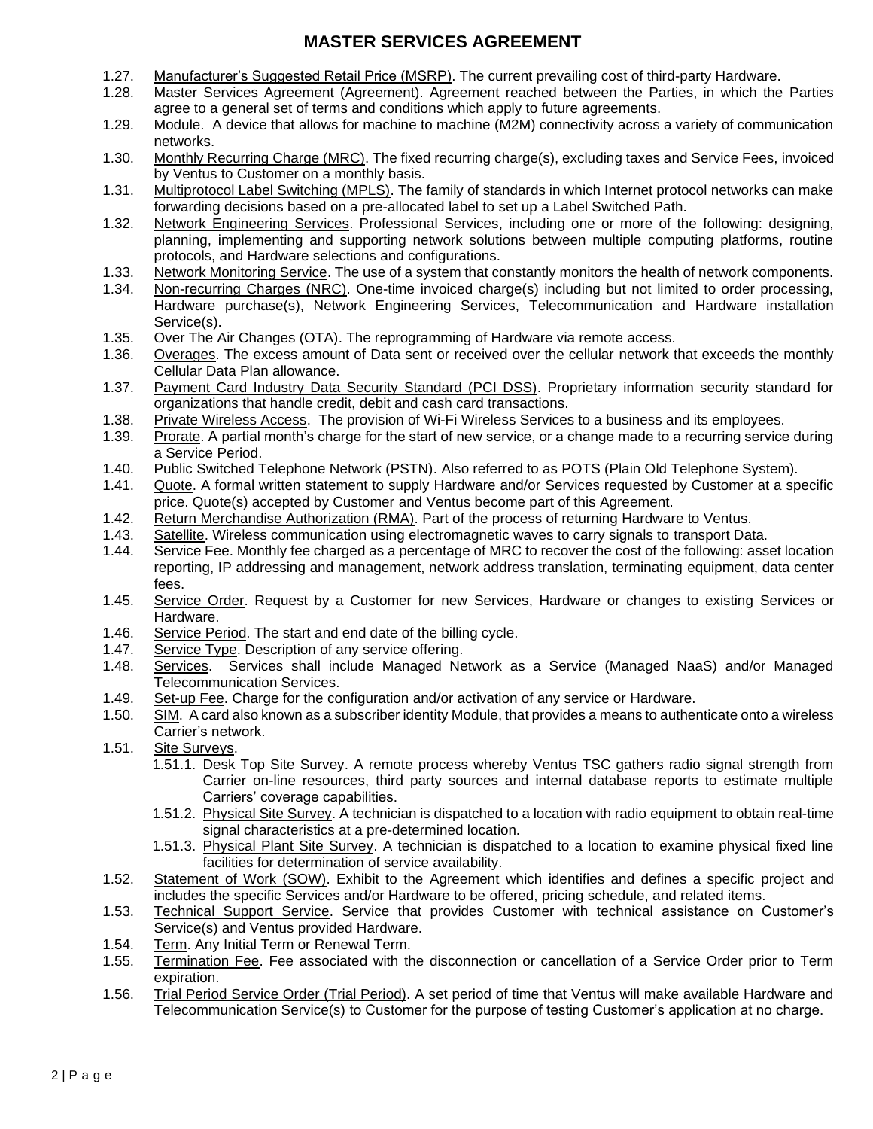## **MASTER SERVICES AGREEMENT**

- 1.27. Manufacturer's Suggested Retail Price (MSRP). The current prevailing cost of third-party Hardware.<br>1.28. Master Services Agreement (Agreement). Agreement reached between the Parties, in which the
- Master Services Agreement (Agreement). Agreement reached between the Parties, in which the Parties agree to a general set of terms and conditions which apply to future agreements.
- 1.29. Module. A device that allows for machine to machine (M2M) connectivity across a variety of communication networks.
- 1.30. Monthly Recurring Charge (MRC). The fixed recurring charge(s), excluding taxes and Service Fees, invoiced by Ventus to Customer on a monthly basis.
- 1.31. Multiprotocol Label Switching (MPLS). The family of standards in which Internet protocol networks can make forwarding decisions based on a pre-allocated label to set up a Label Switched Path.
- 1.32. Network Engineering Services. Professional Services, including one or more of the following: designing, planning, implementing and supporting network solutions between multiple computing platforms, routine protocols, and Hardware selections and configurations.
- 1.33. Network Monitoring Service. The use of a system that constantly monitors the health of network components.
- 1.34. Non-recurring Charges (NRC). One-time invoiced charge(s) including but not limited to order processing, Hardware purchase(s), Network Engineering Services, Telecommunication and Hardware installation Service(s).
- 1.35. Over The Air Changes (OTA). The reprogramming of Hardware via remote access.<br>1.36. Overages. The excess amount of Data sent or received over the cellular network to
- Overages. The excess amount of Data sent or received over the cellular network that exceeds the monthly Cellular Data Plan allowance.
- 1.37. Payment Card Industry Data Security Standard (PCI DSS). Proprietary information security standard for organizations that handle credit, debit and cash card transactions.
- 1.38. Private Wireless Access. The provision of Wi-Fi Wireless Services to a business and its employees.<br>1.39. Prorate. A partial month's charge for the start of new service, or a change made to a recurring service
- 1.39. Prorate. A partial month's charge for the start of new service, or a change made to a recurring service during a Service Period.
- 1.40. Public Switched Telephone Network (PSTN). Also referred to as POTS (Plain Old Telephone System).
- 1.41. Quote. A formal written statement to supply Hardware and/or Services requested by Customer at a specific price. Quote(s) accepted by Customer and Ventus become part of this Agreement.
- 1.42. Return Merchandise Authorization (RMA). Part of the process of returning Hardware to Ventus.
- 1.43. Satellite. Wireless communication using electromagnetic waves to carry signals to transport Data.
- 1.44. Service Fee. Monthly fee charged as a percentage of MRC to recover the cost of the following: asset location reporting, IP addressing and management, network address translation, terminating equipment, data center fees.
- 1.45. Service Order. Request by a Customer for new Services, Hardware or changes to existing Services or Hardware.
- 1.46. Service Period. The start and end date of the billing cycle.
- 1.47. Service Type. Description of any service offering.
- 1.48. Services. Services shall include Managed Network as a Service (Managed NaaS) and/or Managed Telecommunication Services.
- 1.49. Set-up Fee. Charge for the configuration and/or activation of any service or Hardware.
- 1.50. SIM. A card also known as a subscriber identity Module, that provides a means to authenticate onto a wireless Carrier's network.
- 1.51. Site Surveys.
	- 1.51.1. Desk Top Site Survey. A remote process whereby Ventus TSC gathers radio signal strength from Carrier on-line resources, third party sources and internal database reports to estimate multiple Carriers' coverage capabilities.
	- 1.51.2. Physical Site Survey. A technician is dispatched to a location with radio equipment to obtain real-time signal characteristics at a pre-determined location.
	- 1.51.3. Physical Plant Site Survey. A technician is dispatched to a location to examine physical fixed line facilities for determination of service availability.
- 1.52. Statement of Work (SOW). Exhibit to the Agreement which identifies and defines a specific project and includes the specific Services and/or Hardware to be offered, pricing schedule, and related items.
- 1.53. Technical Support Service. Service that provides Customer with technical assistance on Customer's Service(s) and Ventus provided Hardware.
- 1.54. Term. Any Initial Term or Renewal Term.
- 1.55. Termination Fee. Fee associated with the disconnection or cancellation of a Service Order prior to Term expiration.
- 1.56. Trial Period Service Order (Trial Period). A set period of time that Ventus will make available Hardware and Telecommunication Service(s) to Customer for the purpose of testing Customer's application at no charge.